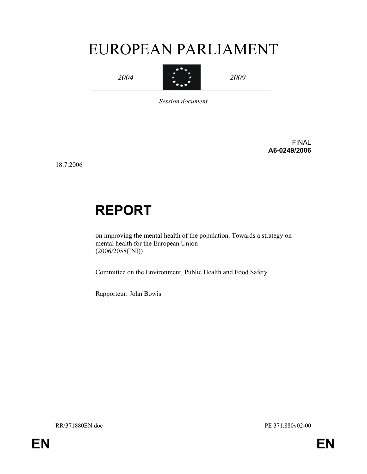# EUROPEAN PARLIAMENT

2004



2009

Session document

FINAL A6-0249/2006

18.7.2006

# REPORT

on improving the mental health of the population. Towards a strategy on mental health for the European Union (2006/2058(INI))

Committee on the Environment, Public Health and Food Safety

Rapporteur: John Bowis

RR\371880EN.doc PE 371.880v02-00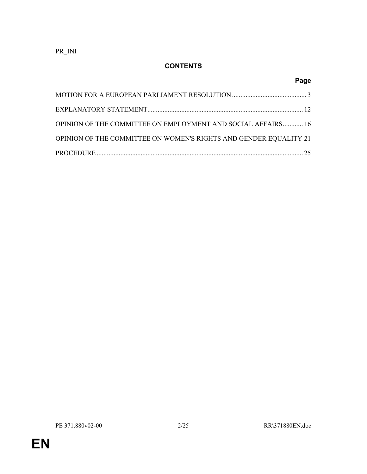PR\_INI

# **CONTENTS**

|                                                                   | Page |
|-------------------------------------------------------------------|------|
|                                                                   |      |
|                                                                   |      |
| OPINION OF THE COMMITTEE ON EMPLOYMENT AND SOCIAL AFFAIRS 16      |      |
| OPINION OF THE COMMITTEE ON WOMEN'S RIGHTS AND GENDER EQUALITY 21 |      |
|                                                                   |      |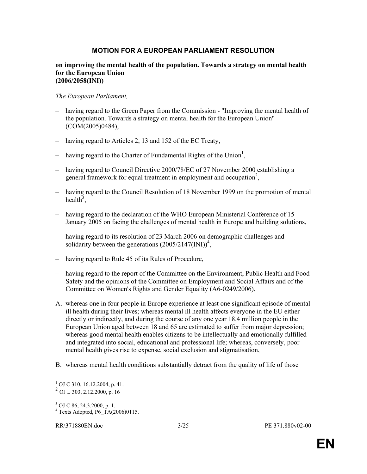### MOTION FOR A EUROPEAN PARLIAMENT RESOLUTION

#### on improving the mental health of the population. Towards a strategy on mental health for the European Union (2006/2058(INI))

#### The European Parliament,

- having regard to the Green Paper from the Commission "Improving the mental health of the population. Towards a strategy on mental health for the European Union" (COM(2005)0484),
- having regard to Articles 2, 13 and 152 of the EC Treaty,
- having regard to the Charter of Fundamental Rights of the Union<sup>1</sup>,
- having regard to Council Directive 2000/78/EC of 27 November 2000 establishing a general framework for equal treatment in employment and occupation<sup>2</sup>,
- having regard to the Council Resolution of 18 November 1999 on the promotion of mental health<sup>3</sup>,
- having regard to the declaration of the WHO European Ministerial Conference of 15 January 2005 on facing the challenges of mental health in Europe and building solutions,
- having regard to its resolution of 23 March 2006 on demographic challenges and solidarity between the generations  $(2005/2147(\text{INI}))^4$ ,
- having regard to Rule 45 of its Rules of Procedure,
- having regard to the report of the Committee on the Environment, Public Health and Food Safety and the opinions of the Committee on Employment and Social Affairs and of the Committee on Women's Rights and Gender Equality (A6-0249/2006),
- A. whereas one in four people in Europe experience at least one significant episode of mental ill health during their lives; whereas mental ill health affects everyone in the EU either directly or indirectly, and during the course of any one year 18.4 million people in the European Union aged between 18 and 65 are estimated to suffer from major depression; whereas good mental health enables citizens to be intellectually and emotionally fulfilled and integrated into social, educational and professional life; whereas, conversely, poor mental health gives rise to expense, social exclusion and stigmatisation,
- B. whereas mental health conditions substantially detract from the quality of life of those

<sup>&</sup>lt;sup>1</sup> OJ C 310, 16.12.2004, p. 41.

<sup>&</sup>lt;sup>2</sup> OJ L 303, 2.12.2000, p. 16

<sup>3</sup> OJ C 86, 24.3.2000, p. 1.

 $4$  Texts Adopted, P6\_TA(2006)0115.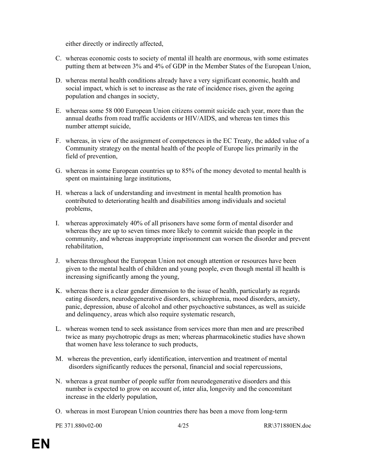either directly or indirectly affected,

- C. whereas economic costs to society of mental ill health are enormous, with some estimates putting them at between 3% and 4% of GDP in the Member States of the European Union,
- D. whereas mental health conditions already have a very significant economic, health and social impact, which is set to increase as the rate of incidence rises, given the ageing population and changes in society,
- E. whereas some 58 000 European Union citizens commit suicide each year, more than the annual deaths from road traffic accidents or HIV/AIDS, and whereas ten times this number attempt suicide,
- F. whereas, in view of the assignment of competences in the EC Treaty, the added value of a Community strategy on the mental health of the people of Europe lies primarily in the field of prevention,
- G. whereas in some European countries up to 85% of the money devoted to mental health is spent on maintaining large institutions,
- H. whereas a lack of understanding and investment in mental health promotion has contributed to deteriorating health and disabilities among individuals and societal problems,
- I. whereas approximately 40% of all prisoners have some form of mental disorder and whereas they are up to seven times more likely to commit suicide than people in the community, and whereas inappropriate imprisonment can worsen the disorder and prevent rehabilitation,
- J. whereas throughout the European Union not enough attention or resources have been given to the mental health of children and young people, even though mental ill health is increasing significantly among the young,
- K. whereas there is a clear gender dimension to the issue of health, particularly as regards eating disorders, neurodegenerative disorders, schizophrenia, mood disorders, anxiety, panic, depression, abuse of alcohol and other psychoactive substances, as well as suicide and delinquency, areas which also require systematic research,
- L. whereas women tend to seek assistance from services more than men and are prescribed twice as many psychotropic drugs as men; whereas pharmacokinetic studies have shown that women have less tolerance to such products,
- M. whereas the prevention, early identification, intervention and treatment of mental disorders significantly reduces the personal, financial and social repercussions,
- N. whereas a great number of people suffer from neurodegenerative disorders and this number is expected to grow on account of, inter alia, longevity and the concomitant increase in the elderly population,
- O. whereas in most European Union countries there has been a move from long-term

PE 371.880v02-00 4/25 RR\371880EN.doc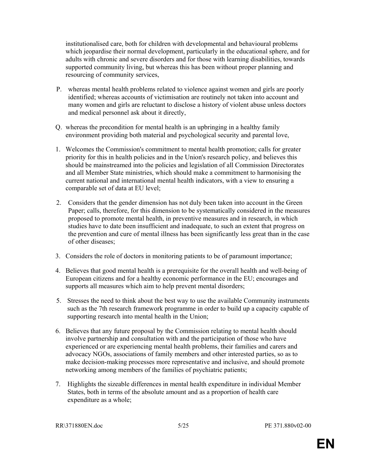institutionalised care, both for children with developmental and behavioural problems which jeopardise their normal development, particularly in the educational sphere, and for adults with chronic and severe disorders and for those with learning disabilities, towards supported community living, but whereas this has been without proper planning and resourcing of community services,

- P. whereas mental health problems related to violence against women and girls are poorly identified; whereas accounts of victimisation are routinely not taken into account and many women and girls are reluctant to disclose a history of violent abuse unless doctors and medical personnel ask about it directly,
- Q. whereas the precondition for mental health is an upbringing in a healthy family environment providing both material and psychological security and parental love,
- 1. Welcomes the Commission's commitment to mental health promotion; calls for greater priority for this in health policies and in the Union's research policy, and believes this should be mainstreamed into the policies and legislation of all Commission Directorates and all Member State ministries, which should make a commitment to harmonising the current national and international mental health indicators, with a view to ensuring a comparable set of data at EU level;
- 2. Considers that the gender dimension has not duly been taken into account in the Green Paper; calls, therefore, for this dimension to be systematically considered in the measures proposed to promote mental health, in preventive measures and in research, in which studies have to date been insufficient and inadequate, to such an extent that progress on the prevention and cure of mental illness has been significantly less great than in the case of other diseases;
- 3. Considers the role of doctors in monitoring patients to be of paramount importance;
- 4. Believes that good mental health is a prerequisite for the overall health and well-being of European citizens and for a healthy economic performance in the EU; encourages and supports all measures which aim to help prevent mental disorders;
- 5. Stresses the need to think about the best way to use the available Community instruments such as the 7th research framework programme in order to build up a capacity capable of supporting research into mental health in the Union;
- 6. Believes that any future proposal by the Commission relating to mental health should involve partnership and consultation with and the participation of those who have experienced or are experiencing mental health problems, their families and carers and advocacy NGOs, associations of family members and other interested parties, so as to make decision-making processes more representative and inclusive, and should promote networking among members of the families of psychiatric patients;
- 7. Highlights the sizeable differences in mental health expenditure in individual Member States, both in terms of the absolute amount and as a proportion of health care expenditure as a whole;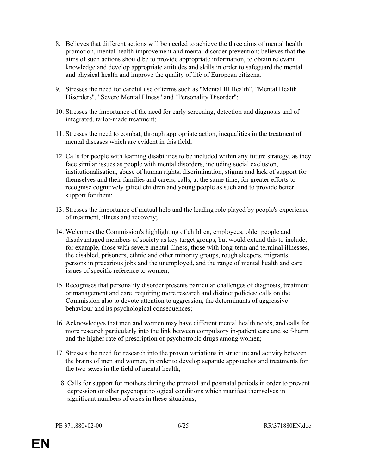- 8. Believes that different actions will be needed to achieve the three aims of mental health promotion, mental health improvement and mental disorder prevention; believes that the aims of such actions should be to provide appropriate information, to obtain relevant knowledge and develop appropriate attitudes and skills in order to safeguard the mental and physical health and improve the quality of life of European citizens;
- 9. Stresses the need for careful use of terms such as "Mental Ill Health", "Mental Health Disorders", "Severe Mental Illness" and "Personality Disorder";
- 10. Stresses the importance of the need for early screening, detection and diagnosis and of integrated, tailor-made treatment;
- 11. Stresses the need to combat, through appropriate action, inequalities in the treatment of mental diseases which are evident in this field;
- 12. Calls for people with learning disabilities to be included within any future strategy, as they face similar issues as people with mental disorders, including social exclusion, institutionalisation, abuse of human rights, discrimination, stigma and lack of support for themselves and their families and carers; calls, at the same time, for greater efforts to recognise cognitively gifted children and young people as such and to provide better support for them;
- 13. Stresses the importance of mutual help and the leading role played by people's experience of treatment, illness and recovery;
- 14. Welcomes the Commission's highlighting of children, employees, older people and disadvantaged members of society as key target groups, but would extend this to include, for example, those with severe mental illness, those with long-term and terminal illnesses, the disabled, prisoners, ethnic and other minority groups, rough sleepers, migrants, persons in precarious jobs and the unemployed, and the range of mental health and care issues of specific reference to women;
- 15. Recognises that personality disorder presents particular challenges of diagnosis, treatment or management and care, requiring more research and distinct policies; calls on the Commission also to devote attention to aggression, the determinants of aggressive behaviour and its psychological consequences;
- 16. Acknowledges that men and women may have different mental health needs, and calls for more research particularly into the link between compulsory in-patient care and self-harm and the higher rate of prescription of psychotropic drugs among women;
- 17. Stresses the need for research into the proven variations in structure and activity between the brains of men and women, in order to develop separate approaches and treatments for the two sexes in the field of mental health;
- 18. Calls for support for mothers during the prenatal and postnatal periods in order to prevent depression or other psychopathological conditions which manifest themselves in significant numbers of cases in these situations;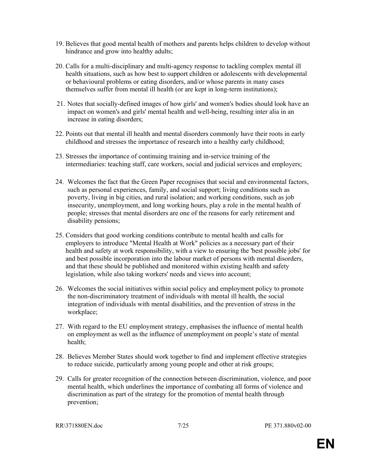- 19. Believes that good mental health of mothers and parents helps children to develop without hindrance and grow into healthy adults;
- 20. Calls for a multi-disciplinary and multi-agency response to tackling complex mental ill health situations, such as how best to support children or adolescents with developmental or behavioural problems or eating disorders, and/or whose parents in many cases themselves suffer from mental ill health (or are kept in long-term institutions);
- 21. Notes that socially-defined images of how girls' and women's bodies should look have an impact on women's and girls' mental health and well-being, resulting inter alia in an increase in eating disorders;
- 22. Points out that mental ill health and mental disorders commonly have their roots in early childhood and stresses the importance of research into a healthy early childhood;
- 23. Stresses the importance of continuing training and in-service training of the intermediaries: teaching staff, care workers, social and judicial services and employers;
- 24. Welcomes the fact that the Green Paper recognises that social and environmental factors, such as personal experiences, family, and social support; living conditions such as poverty, living in big cities, and rural isolation; and working conditions, such as job insecurity, unemployment, and long working hours, play a role in the mental health of people; stresses that mental disorders are one of the reasons for early retirement and disability pensions;
- 25. Considers that good working conditions contribute to mental health and calls for employers to introduce "Mental Health at Work" policies as a necessary part of their health and safety at work responsibility, with a view to ensuring the 'best possible jobs' for and best possible incorporation into the labour market of persons with mental disorders, and that these should be published and monitored within existing health and safety legislation, while also taking workers' needs and views into account;
- 26. Welcomes the social initiatives within social policy and employment policy to promote the non-discriminatory treatment of individuals with mental ill health, the social integration of individuals with mental disabilities, and the prevention of stress in the workplace;
- 27. With regard to the EU employment strategy, emphasises the influence of mental health on employment as well as the influence of unemployment on people's state of mental health;
- 28. Believes Member States should work together to find and implement effective strategies to reduce suicide, particularly among young people and other at risk groups;
- 29. Calls for greater recognition of the connection between discrimination, violence, and poor mental health, which underlines the importance of combating all forms of violence and discrimination as part of the strategy for the promotion of mental health through prevention;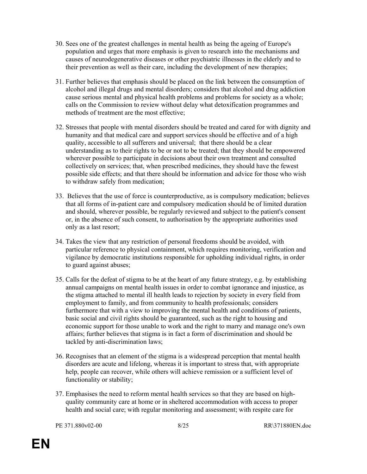- 30. Sees one of the greatest challenges in mental health as being the ageing of Europe's population and urges that more emphasis is given to research into the mechanisms and causes of neurodegenerative diseases or other psychiatric illnesses in the elderly and to their prevention as well as their care, including the development of new therapies;
- 31. Further believes that emphasis should be placed on the link between the consumption of alcohol and illegal drugs and mental disorders; considers that alcohol and drug addiction cause serious mental and physical health problems and problems for society as a whole; calls on the Commission to review without delay what detoxification programmes and methods of treatment are the most effective;
- 32. Stresses that people with mental disorders should be treated and cared for with dignity and humanity and that medical care and support services should be effective and of a high quality, accessible to all sufferers and universal; that there should be a clear understanding as to their rights to be or not to be treated; that they should be empowered wherever possible to participate in decisions about their own treatment and consulted collectively on services; that, when prescribed medicines, they should have the fewest possible side effects; and that there should be information and advice for those who wish to withdraw safely from medication;
- 33. Believes that the use of force is counterproductive, as is compulsory medication; believes that all forms of in-patient care and compulsory medication should be of limited duration and should, wherever possible, be regularly reviewed and subject to the patient's consent or, in the absence of such consent, to authorisation by the appropriate authorities used only as a last resort;
- 34. Takes the view that any restriction of personal freedoms should be avoided, with particular reference to physical containment, which requires monitoring, verification and vigilance by democratic institutions responsible for upholding individual rights, in order to guard against abuses;
- 35. Calls for the defeat of stigma to be at the heart of any future strategy, e.g. by establishing annual campaigns on mental health issues in order to combat ignorance and injustice, as the stigma attached to mental ill health leads to rejection by society in every field from employment to family, and from community to health professionals; considers furthermore that with a view to improving the mental health and conditions of patients, basic social and civil rights should be guaranteed, such as the right to housing and economic support for those unable to work and the right to marry and manage one's own affairs; further believes that stigma is in fact a form of discrimination and should be tackled by anti-discrimination laws;
- 36. Recognises that an element of the stigma is a widespread perception that mental health disorders are acute and lifelong, whereas it is important to stress that, with appropriate help, people can recover, while others will achieve remission or a sufficient level of functionality or stability;
- 37. Emphasises the need to reform mental health services so that they are based on highquality community care at home or in sheltered accommodation with access to proper health and social care; with regular monitoring and assessment; with respite care for

PE 371.880v02-00 8/25 RR\371880EN.doc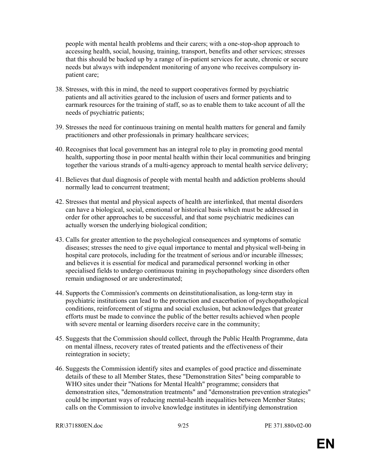people with mental health problems and their carers; with a one-stop-shop approach to accessing health, social, housing, training, transport, benefits and other services; stresses that this should be backed up by a range of in-patient services for acute, chronic or secure needs but always with independent monitoring of anyone who receives compulsory inpatient care;

- 38. Stresses, with this in mind, the need to support cooperatives formed by psychiatric patients and all activities geared to the inclusion of users and former patients and to earmark resources for the training of staff, so as to enable them to take account of all the needs of psychiatric patients;
- 39. Stresses the need for continuous training on mental health matters for general and family practitioners and other professionals in primary healthcare services;
- 40. Recognises that local government has an integral role to play in promoting good mental health, supporting those in poor mental health within their local communities and bringing together the various strands of a multi-agency approach to mental health service delivery;
- 41. Believes that dual diagnosis of people with mental health and addiction problems should normally lead to concurrent treatment;
- 42. Stresses that mental and physical aspects of health are interlinked, that mental disorders can have a biological, social, emotional or historical basis which must be addressed in order for other approaches to be successful, and that some psychiatric medicines can actually worsen the underlying biological condition;
- 43. Calls for greater attention to the psychological consequences and symptoms of somatic diseases; stresses the need to give equal importance to mental and physical well-being in hospital care protocols, including for the treatment of serious and/or incurable illnesses; and believes it is essential for medical and paramedical personnel working in other specialised fields to undergo continuous training in psychopathology since disorders often remain undiagnosed or are underestimated;
- 44. Supports the Commission's comments on deinstitutionalisation, as long-term stay in psychiatric institutions can lead to the protraction and exacerbation of psychopathological conditions, reinforcement of stigma and social exclusion, but acknowledges that greater efforts must be made to convince the public of the better results achieved when people with severe mental or learning disorders receive care in the community;
- 45. Suggests that the Commission should collect, through the Public Health Programme, data on mental illness, recovery rates of treated patients and the effectiveness of their reintegration in society;
- 46. Suggests the Commission identify sites and examples of good practice and disseminate details of these to all Member States, these "Demonstration Sites" being comparable to WHO sites under their "Nations for Mental Health" programme; considers that demonstration sites, "demonstration treatments" and "demonstration prevention strategies" could be important ways of reducing mental-health inequalities between Member States; calls on the Commission to involve knowledge institutes in identifying demonstration

```
RR\371880EN.doc 9/25 PE 371.880v02-00
```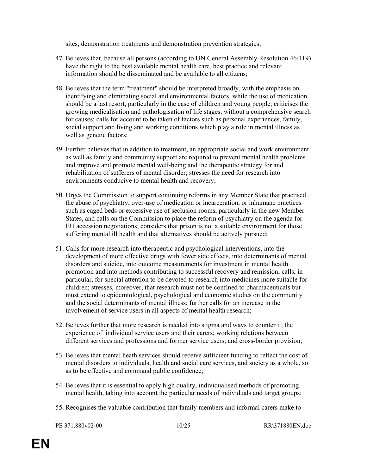sites, demonstration treatments and demonstration prevention strategies;

- 47. Believes that, because all persons (according to UN General Assembly Resolution 46/119) have the right to the best available mental health care, best practice and relevant information should be disseminated and be available to all citizens;
- 48. Believes that the term "treatment" should be interpreted broadly, with the emphasis on identifying and eliminating social and environmental factors, while the use of medication should be a last resort, particularly in the case of children and young people; criticises the growing medicalisation and pathologisation of life stages, without a comprehensive search for causes; calls for account to be taken of factors such as personal experiences, family, social support and living and working conditions which play a role in mental illness as well as genetic factors;
- 49. Further believes that in addition to treatment, an appropriate social and work environment as well as family and community support are required to prevent mental health problems and improve and promote mental well-being and the therapeutic strategy for and rehabilitation of sufferers of mental disorder; stresses the need for research into environments conducive to mental health and recovery;
- 50. Urges the Commission to support continuing reforms in any Member State that practised the abuse of psychiatry, over-use of medication or incarceration, or inhumane practices such as caged beds or excessive use of seclusion rooms, particularly in the new Member States, and calls on the Commission to place the reform of psychiatry on the agenda for EU accession negotiations; considers that prison is not a suitable environment for those suffering mental ill health and that alternatives should be actively pursued;
- 51. Calls for more research into therapeutic and psychological interventions, into the development of more effective drugs with fewer side effects, into determinants of mental disorders and suicide, into outcome measurements for investment in mental health promotion and into methods contributing to successful recovery and remission; calls, in particular, for special attention to be devoted to research into medicines more suitable for children; stresses, moreover, that research must not be confined to pharmaceuticals but must extend to epidemiological, psychological and economic studies on the community and the social determinants of mental illness; further calls for an increase in the involvement of service users in all aspects of mental health research;
- 52. Believes further that more research is needed into stigma and ways to counter it; the experience of individual service users and their carers; working relations between different services and professions and former service users; and cross-border provision;
- 53. Believes that mental heath services should receive sufficient funding to reflect the cost of mental disorders to individuals, health and social care services, and society as a whole, so as to be effective and command public confidence;
- 54. Believes that it is essential to apply high quality, individualised methods of promoting mental health, taking into account the particular needs of individuals and target groups;
- 55. Recognises the valuable contribution that family members and informal carers make to

PE 371.880v02-00 10/25 RR\371880EN.doc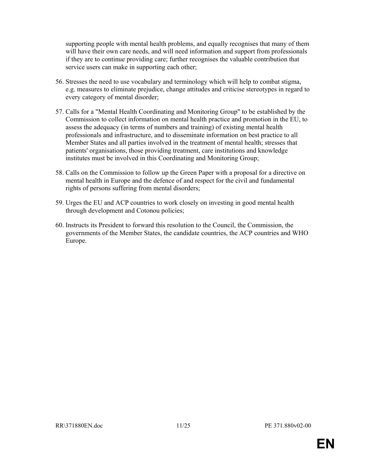supporting people with mental health problems, and equally recognises that many of them will have their own care needs, and will need information and support from professionals if they are to continue providing care; further recognises the valuable contribution that service users can make in supporting each other;

- 56. Stresses the need to use vocabulary and terminology which will help to combat stigma, e.g. measures to eliminate prejudice, change attitudes and criticise stereotypes in regard to every category of mental disorder;
- 57. Calls for a "Mental Health Coordinating and Monitoring Group" to be established by the Commission to collect information on mental health practice and promotion in the EU, to assess the adequacy (in terms of numbers and training) of existing mental health professionals and infrastructure, and to disseminate information on best practice to all Member States and all parties involved in the treatment of mental health; stresses that patients' organisations, those providing treatment, care institutions and knowledge institutes must be involved in this Coordinating and Monitoring Group;
- 58. Calls on the Commission to follow up the Green Paper with a proposal for a directive on mental health in Europe and the defence of and respect for the civil and fundamental rights of persons suffering from mental disorders;
- 59. Urges the EU and ACP countries to work closely on investing in good mental health through development and Cotonou policies;
- 60. Instructs its President to forward this resolution to the Council, the Commission, the governments of the Member States, the candidate countries, the ACP countries and WHO Europe.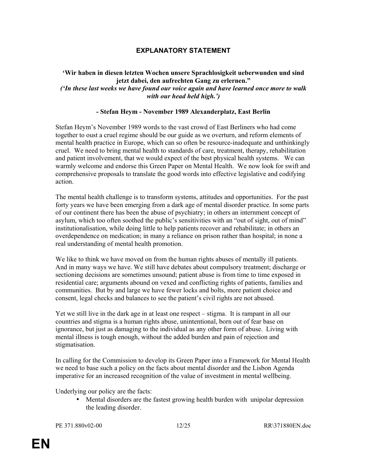# EXPLANATORY STATEMENT

#### 'Wir haben in diesen letzten Wochen unsere Sprachlosigkeit ueberwunden und sind jetzt dabei, den aufrechten Gang zu erlernen." ('In these last weeks we have found our voice again and have learned once more to walk with our head held high.')

#### - Stefan Heym - November 1989 Alexanderplatz, East Berlin

Stefan Heym's November 1989 words to the vast crowd of East Berliners who had come together to oust a cruel regime should be our guide as we overturn, and reform elements of mental health practice in Europe, which can so often be resource-inadequate and unthinkingly cruel. We need to bring mental health to standards of care, treatment, therapy, rehabilitation and patient involvement, that we would expect of the best physical health systems. We can warmly welcome and endorse this Green Paper on Mental Health. We now look for swift and comprehensive proposals to translate the good words into effective legislative and codifying action.

The mental health challenge is to transform systems, attitudes and opportunities. For the past forty years we have been emerging from a dark age of mental disorder practice. In some parts of our continent there has been the abuse of psychiatry; in others an internment concept of asylum, which too often soothed the public's sensitivities with an "out of sight, out of mind" institutionalisation, while doing little to help patients recover and rehabilitate; in others an overdependence on medication; in many a reliance on prison rather than hospital; in none a real understanding of mental health promotion.

We like to think we have moved on from the human rights abuses of mentally ill patients. And in many ways we have. We still have debates about compulsory treatment; discharge or sectioning decisions are sometimes unsound; patient abuse is from time to time exposed in residential care; arguments abound on vexed and conflicting rights of patients, families and communities. But by and large we have fewer locks and bolts, more patient choice and consent, legal checks and balances to see the patient's civil rights are not abused.

Yet we still live in the dark age in at least one respect – stigma. It is rampant in all our countries and stigma is a human rights abuse, unintentional, born out of fear base on ignorance, but just as damaging to the individual as any other form of abuse. Living with mental illness is tough enough, without the added burden and pain of rejection and stigmatisation.

In calling for the Commission to develop its Green Paper into a Framework for Mental Health we need to base such a policy on the facts about mental disorder and the Lisbon Agenda imperative for an increased recognition of the value of investment in mental wellbeing.

Underlying our policy are the facts:

• Mental disorders are the fastest growing health burden with unipolar depression the leading disorder.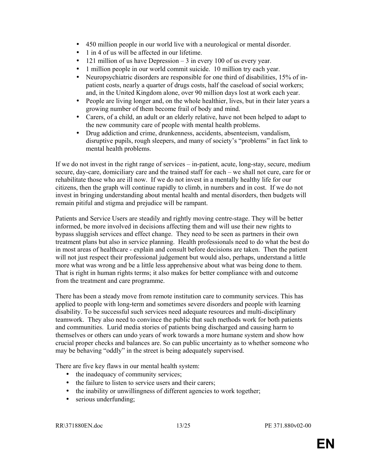- 450 million people in our world live with a neurological or mental disorder.
- 1 in 4 of us will be affected in our lifetime.
- 121 million of us have Depression  $-3$  in every 100 of us every year.
- 1 million people in our world commit suicide. 10 million try each year.
- Neuropsychiatric disorders are responsible for one third of disabilities, 15% of inpatient costs, nearly a quarter of drugs costs, half the caseload of social workers; and, in the United Kingdom alone, over 90 million days lost at work each year.
- People are living longer and, on the whole healthier, lives, but in their later years a growing number of them become frail of body and mind.
- Carers, of a child, an adult or an elderly relative, have not been helped to adapt to the new community care of people with mental health problems.
- Drug addiction and crime, drunkenness, accidents, absenteeism, vandalism, disruptive pupils, rough sleepers, and many of society's "problems" in fact link to mental health problems.

If we do not invest in the right range of services – in-patient, acute, long-stay, secure, medium secure, day-care, domiciliary care and the trained staff for each – we shall not cure, care for or rehabilitate those who are ill now. If we do not invest in a mentally healthy life for our citizens, then the graph will continue rapidly to climb, in numbers and in cost. If we do not invest in bringing understanding about mental health and mental disorders, then budgets will remain pitiful and stigma and prejudice will be rampant.

Patients and Service Users are steadily and rightly moving centre-stage. They will be better informed, be more involved in decisions affecting them and will use their new rights to bypass sluggish services and effect change. They need to be seen as partners in their own treatment plans but also in service planning. Health professionals need to do what the best do in most areas of healthcare - explain and consult before decisions are taken. Then the patient will not just respect their professional judgement but would also, perhaps, understand a little more what was wrong and be a little less apprehensive about what was being done to them. That is right in human rights terms; it also makes for better compliance with and outcome from the treatment and care programme.

There has been a steady move from remote institution care to community services. This has applied to people with long-term and sometimes severe disorders and people with learning disability. To be successful such services need adequate resources and multi-disciplinary teamwork. They also need to convince the public that such methods work for both patients and communities. Lurid media stories of patients being discharged and causing harm to themselves or others can undo years of work towards a more humane system and show how crucial proper checks and balances are. So can public uncertainty as to whether someone who may be behaving "oddly" in the street is being adequately supervised.

There are five key flaws in our mental health system:

- the inadequacy of community services;
- the failure to listen to service users and their carers;
- the inability or unwillingness of different agencies to work together;
- serious underfunding;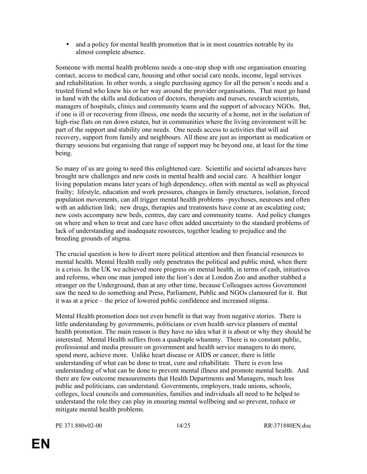• and a policy for mental health promotion that is in most countries notrable by its almost complete absence.

Someone with mental health problems needs a one-stop shop with one organisation ensuring contact, access to medical care, housing and other social care needs, income, legal services and rehabilitation. In other words, a single purchasing agency for all the person's needs and a trusted friend who knew his or her way around the provider organisations. That must go hand in hand with the skills and dedication of doctors, therapists and nurses, research scientists, managers of hospitals, clinics and community teams and the support of advocacy NGOs. But, if one is ill or recovering from illness, one needs the security of a home, not in the isolation of high-rise flats on run down estates, but in communities where the living environment will be part of the support and stability one needs. One needs access to activities that will aid recovery, support from family and neighbours. All these are just as important as medication or therapy sessions but organising that range of support may be beyond one, at least for the time being.

So many of us are going to need this enlightened care. Scientific and societal advances have brought new challenges and new costs in mental health and social care. A healthier longer living population means later years of high dependency, often with mental as well as physical frailty; lifestyle, education and work pressures, changes in family structures, isolation, forced population movements, can all trigger mental health problems –psychoses, neuroses and often with an addiction link; new drugs, therapies and treatments have come at an escalating cost; new costs accompany new beds, centres, day care and community teams. And policy changes on where and when to treat and care have often added uncertainty to the standard problems of lack of understanding and inadequate resources, together leading to prejudice and the breeding grounds of stigma.

The crucial question is how to divert more political attention and then financial resources to mental health. Mental Health really only penetrates the political and public mind, when there is a crisis. In the UK we achieved more progress on mental health, in terms of cash, initiatives and reforms, when one man jumped into the lion's den at London Zoo and another stabbed a stranger on the Underground, than at any other time, because Colleagues across Government saw the need to do something and Press, Parliament, Public and NGOs clamoured for it. But it was at a price – the price of lowered public confidence and increased stigma.

Mental Health promotion does not even benefit in that way from negative stories. There is little understanding by governments, politicians or even health service planners of mental health promotion. The main reason is they have no idea what it is about or why they should be interested. Mental Health suffers from a quadruple whammy. There is no constant public, professional and media pressure on government and health service managers to do more, spend more, achieve more. Unlike heart disease or AIDS or cancer, there is little understanding of what can be done to treat, cure and rehabilitate. There is even less understanding of what can be done to prevent mental illness and promote mental health. And there are few outcome measurements that Health Departments and Managers, much less public and politicians, can understand. Governments, employers, trade unions, schools, colleges, local councils and communities, families and individuals all need to be helped to understand the role they can play in ensuring mental wellbeing and so prevent, reduce or mitigate mental health problems.

PE 371.880v02-00 14/25 RR\371880EN.doc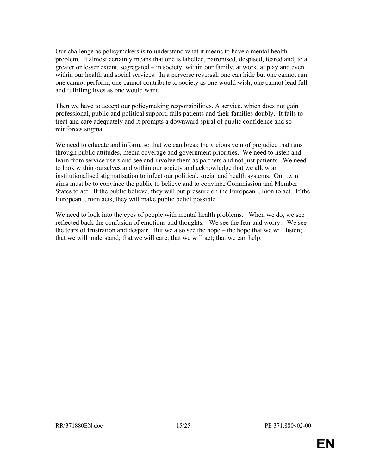Our challenge as policymakers is to understand what it means to have a mental health problem. It almost certainly means that one is labelled, patronised, despised, feared and, to a greater or lesser extent, segregated – in society, within our family, at work, at play and even within our health and social services. In a perverse reversal, one can hide but one cannot run; one cannot perform; one cannot contribute to society as one would wish; one cannot lead full and fulfilling lives as one would want.

Then we have to accept our policymaking responsibilities. A service, which does not gain professional, public and political support, fails patients and their families doubly. It fails to treat and care adequately and it prompts a downward spiral of public confidence and so reinforces stigma.

We need to educate and inform, so that we can break the vicious vein of prejudice that runs through public attitudes, media coverage and government priorities. We need to listen and learn from service users and see and involve them as partners and not just patients. We need to look within ourselves and within our society and acknowledge that we allow an institutionalised stigmatisation to infect our political, social and health systems. Our twin aims must be to convince the public to believe and to convince Commission and Member States to act. If the public believe, they will put pressure on the European Union to act. If the European Union acts, they will make public belief possible.

We need to look into the eyes of people with mental health problems. When we do, we see reflected back the confusion of emotions and thoughts. We see the fear and worry. We see the tears of frustration and despair. But we also see the hope – the hope that we will listen; that we will understand; that we will care; that we will act; that we can help.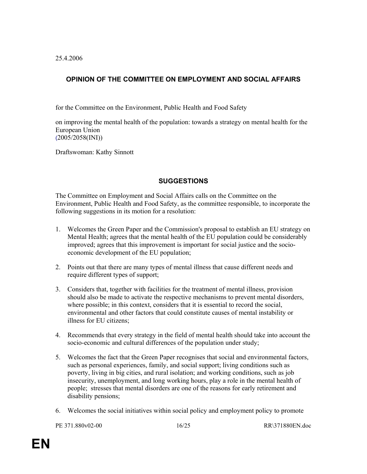25.4.2006

# OPINION OF THE COMMITTEE ON EMPLOYMENT AND SOCIAL AFFAIRS

for the Committee on the Environment, Public Health and Food Safety

on improving the mental health of the population: towards a strategy on mental health for the European Union (2005/2058(INI))

Draftswoman: Kathy Sinnott

# **SUGGESTIONS**

The Committee on Employment and Social Affairs calls on the Committee on the Environment, Public Health and Food Safety, as the committee responsible, to incorporate the following suggestions in its motion for a resolution:

- 1. Welcomes the Green Paper and the Commission's proposal to establish an EU strategy on Mental Health; agrees that the mental health of the EU population could be considerably improved; agrees that this improvement is important for social justice and the socioeconomic development of the EU population;
- 2. Points out that there are many types of mental illness that cause different needs and require different types of support;
- 3. Considers that, together with facilities for the treatment of mental illness, provision should also be made to activate the respective mechanisms to prevent mental disorders, where possible; in this context, considers that it is essential to record the social, environmental and other factors that could constitute causes of mental instability or illness for EU citizens;
- 4. Recommends that every strategy in the field of mental health should take into account the socio-economic and cultural differences of the population under study;
- 5. Welcomes the fact that the Green Paper recognises that social and environmental factors, such as personal experiences, family, and social support; living conditions such as poverty, living in big cities, and rural isolation; and working conditions, such as job insecurity, unemployment, and long working hours, play a role in the mental health of people; stresses that mental disorders are one of the reasons for early retirement and disability pensions;
- 6. Welcomes the social initiatives within social policy and employment policy to promote

PE 371.880v02-00 16/25 RR\371880EN.doc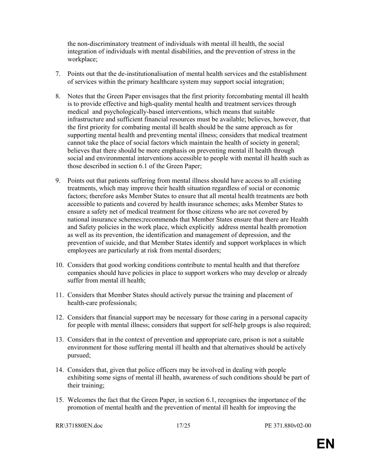the non-discriminatory treatment of individuals with mental ill health, the social integration of individuals with mental disabilities, and the prevention of stress in the workplace;

- 7. Points out that the de-institutionalisation of mental health services and the establishment of services within the primary healthcare system may support social integration;
- 8. Notes that the Green Paper envisages that the first priority forcombating mental ill health is to provide effective and high-quality mental health and treatment services through medical and psychologically-based interventions, which means that suitable infrastructure and sufficient financial resources must be available; believes, however, that the first priority for combating mental ill health should be the same approach as for supporting mental health and preventing mental illness; considers that medical treatment cannot take the place of social factors which maintain the health of society in general; believes that there should be more emphasis on preventing mental ill health through social and environmental interventions accessible to people with mental ill health such as those described in section 6.1 of the Green Paper;
- 9. Points out that patients suffering from mental illness should have access to all existing treatments, which may improve their health situation regardless of social or economic factors; therefore asks Member States to ensure that all mental health treatments are both accessible to patients and covered by health insurance schemes; asks Member States to ensure a safety net of medical treatment for those citizens who are not covered by national insurance schemes;recommends that Member States ensure that there are Health and Safety policies in the work place, which explicitly address mental health promotion as well as its prevention, the identification and management of depression, and the prevention of suicide, and that Member States identify and support workplaces in which employees are particularly at risk from mental disorders;
- 10. Considers that good working conditions contribute to mental health and that therefore companies should have policies in place to support workers who may develop or already suffer from mental ill health;
- 11. Considers that Member States should actively pursue the training and placement of health-care professionals;
- 12. Considers that financial support may be necessary for those caring in a personal capacity for people with mental illness; considers that support for self-help groups is also required;
- 13. Considers that in the context of prevention and appropriate care, prison is not a suitable environment for those suffering mental ill health and that alternatives should be actively pursued;
- 14. Considers that, given that police officers may be involved in dealing with people exhibiting some signs of mental ill health, awareness of such conditions should be part of their training;
- 15. Welcomes the fact that the Green Paper, in section 6.1, recognises the importance of the promotion of mental health and the prevention of mental ill health for improving the

RR\371880EN.doc 17/25 PE 371.880v02-00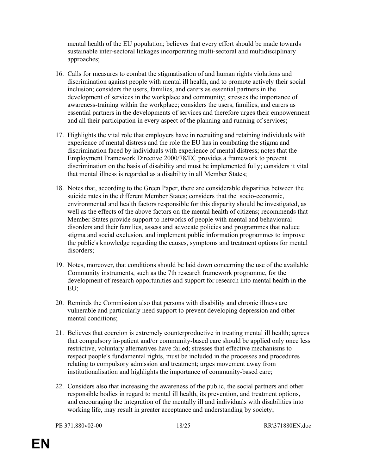mental health of the EU population; believes that every effort should be made towards sustainable inter-sectoral linkages incorporating multi-sectoral and multidisciplinary approaches;

- 16. Calls for measures to combat the stigmatisation of and human rights violations and discrimination against people with mental ill health, and to promote actively their social inclusion; considers the users, families, and carers as essential partners in the development of services in the workplace and community; stresses the importance of awareness-training within the workplace; considers the users, families, and carers as essential partners in the developments of services and therefore urges their empowerment and all their participation in every aspect of the planning and running of services;
- 17. Highlights the vital role that employers have in recruiting and retaining individuals with experience of mental distress and the role the EU has in combating the stigma and discrimination faced by individuals with experience of mental distress; notes that the Employment Framework Directive 2000/78/EC provides a framework to prevent discrimination on the basis of disability and must be implemented fully; considers it vital that mental illness is regarded as a disability in all Member States;
- 18. Notes that, according to the Green Paper, there are considerable disparities between the suicide rates in the different Member States; considers that the socio-economic, environmental and health factors responsible for this disparity should be investigated, as well as the effects of the above factors on the mental health of citizens; recommends that Member States provide support to networks of people with mental and behavioural disorders and their families, assess and advocate policies and programmes that reduce stigma and social exclusion, and implement public information programmes to improve the public's knowledge regarding the causes, symptoms and treatment options for mental disorders;
- 19. Notes, moreover, that conditions should be laid down concerning the use of the available Community instruments, such as the 7th research framework programme, for the development of research opportunities and support for research into mental health in the EU;
- 20. Reminds the Commission also that persons with disability and chronic illness are vulnerable and particularly need support to prevent developing depression and other mental conditions;
- 21. Believes that coercion is extremely counterproductive in treating mental ill health; agrees that compulsory in-patient and/or community-based care should be applied only once less restrictive, voluntary alternatives have failed; stresses that effective mechanisms to respect people's fundamental rights, must be included in the processes and procedures relating to compulsory admission and treatment; urges movement away from institutionalisation and highlights the importance of community-based care;
- 22. Considers also that increasing the awareness of the public, the social partners and other responsible bodies in regard to mental ill health, its prevention, and treatment options, and encouraging the integration of the mentally ill and individuals with disabilities into working life, may result in greater acceptance and understanding by society;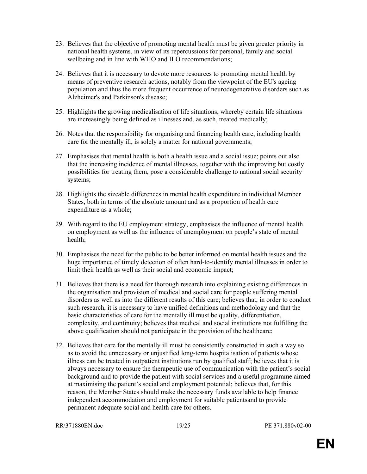- 23. Believes that the objective of promoting mental health must be given greater priority in national health systems, in view of its repercussions for personal, family and social wellbeing and in line with WHO and ILO recommendations;
- 24. Believes that it is necessary to devote more resources to promoting mental health by means of preventive research actions, notably from the viewpoint of the EU's ageing population and thus the more frequent occurrence of neurodegenerative disorders such as Alzheimer's and Parkinson's disease;
- 25. Highlights the growing medicalisation of life situations, whereby certain life situations are increasingly being defined as illnesses and, as such, treated medically;
- 26. Notes that the responsibility for organising and financing health care, including health care for the mentally ill, is solely a matter for national governments;
- 27. Emphasises that mental health is both a health issue and a social issue; points out also that the increasing incidence of mental illnesses, together with the improving but costly possibilities for treating them, pose a considerable challenge to national social security systems;
- 28. Highlights the sizeable differences in mental health expenditure in individual Member States, both in terms of the absolute amount and as a proportion of health care expenditure as a whole;
- 29. With regard to the EU employment strategy, emphasises the influence of mental health on employment as well as the influence of unemployment on people's state of mental health;
- 30. Emphasises the need for the public to be better informed on mental health issues and the huge importance of timely detection of often hard-to-identify mental illnesses in order to limit their health as well as their social and economic impact;
- 31. Believes that there is a need for thorough research into explaining existing differences in the organisation and provision of medical and social care for people suffering mental disorders as well as into the different results of this care; believes that, in order to conduct such research, it is necessary to have unified definitions and methodology and that the basic characteristics of care for the mentally ill must be quality, differentiation, complexity, and continuity; believes that medical and social institutions not fulfilling the above qualification should not participate in the provision of the healthcare;
- 32. Believes that care for the mentally ill must be consistently constructed in such a way so as to avoid the unnecessary or unjustified long-term hospitalisation of patients whose illness can be treated in outpatient institutions run by qualified staff; believes that it is always necessary to ensure the therapeutic use of communication with the patient's social background and to provide the patient with social services and a useful programme aimed at maximising the patient's social and employment potential; believes that, for this reason, the Member States should make the necessary funds available to help finance independent accommodation and employment for suitable patientsand to provide permanent adequate social and health care for others.

RR\371880EN.doc 19/25 PE 371.880v02-00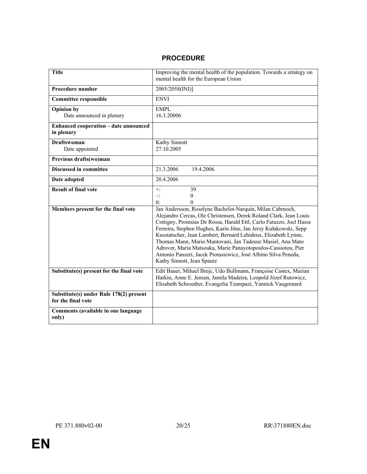# PROCEDURE

| <b>Title</b>                                                  | Improving the mental health of the population. Towards a strategy on<br>mental health for the European Union                                                                                                                                                                                                                                                                                                                                                                                                                                                                |  |  |  |  |
|---------------------------------------------------------------|-----------------------------------------------------------------------------------------------------------------------------------------------------------------------------------------------------------------------------------------------------------------------------------------------------------------------------------------------------------------------------------------------------------------------------------------------------------------------------------------------------------------------------------------------------------------------------|--|--|--|--|
| <b>Procedure number</b>                                       | 2005/2058(INI)]                                                                                                                                                                                                                                                                                                                                                                                                                                                                                                                                                             |  |  |  |  |
| <b>Committee responsible</b>                                  | <b>ENVI</b>                                                                                                                                                                                                                                                                                                                                                                                                                                                                                                                                                                 |  |  |  |  |
| <b>Opinion by</b><br>Date announced in plenary                | <b>EMPL</b><br>16.3.20006                                                                                                                                                                                                                                                                                                                                                                                                                                                                                                                                                   |  |  |  |  |
| <b>Enhanced cooperation - date announced</b><br>in plenary    |                                                                                                                                                                                                                                                                                                                                                                                                                                                                                                                                                                             |  |  |  |  |
| <b>Draftswoman</b><br>Date appointed                          | <b>Kathy Sinnott</b><br>27.10.2005                                                                                                                                                                                                                                                                                                                                                                                                                                                                                                                                          |  |  |  |  |
| Previous drafts(wo)man                                        |                                                                                                                                                                                                                                                                                                                                                                                                                                                                                                                                                                             |  |  |  |  |
| <b>Discussed in committee</b>                                 | 21.3.2006<br>19.4.2006                                                                                                                                                                                                                                                                                                                                                                                                                                                                                                                                                      |  |  |  |  |
| Date adopted                                                  | 20.4.2006                                                                                                                                                                                                                                                                                                                                                                                                                                                                                                                                                                   |  |  |  |  |
| <b>Result of final vote</b>                                   | $\overline{39}$<br>$+$ :<br>$\theta$<br>$-$ :<br>0:<br>$\Omega$                                                                                                                                                                                                                                                                                                                                                                                                                                                                                                             |  |  |  |  |
| Members present for the final vote                            | Jan Andersson, Roselyne Bachelot-Narquin, Milan Cabrnoch,<br>Alejandro Cercas, Ole Christensen, Derek Roland Clark, Jean Louis<br>Cottigny, Proinsias De Rossa, Harald Ettl, Carlo Fatuzzo, Joel Hasse<br>Ferreira, Stephen Hughes, Karin Jöns, Jan Jerzy Kułakowski, Sepp<br>Kusstatscher, Jean Lambert, Bernard Lehideux, Elizabeth Lynne,<br>Thomas Mann, Mario Mantovani, Jan Tadeusz Masiel, Ana Mato<br>Adrover, Maria Matsouka, Marie Panayotopoulos-Cassiotou, Pier<br>Antonio Panzeri, Jacek Protasiewicz, José Albino Silva Peneda,<br>Kathy Sinnott, Jean Spautz |  |  |  |  |
| Substitute(s) present for the final vote                      | Edit Bauer, Mihael Brejc, Udo Bullmann, Françoise Castex, Marian<br>Harkin, Anne E. Jensen, Jamila Madeira, Leopold Józef Rutowicz,<br>Elisabeth Schroedter, Evangelia Tzampazi, Yannick Vaugrenard                                                                                                                                                                                                                                                                                                                                                                         |  |  |  |  |
| Substitute(s) under Rule 178(2) present<br>for the final vote |                                                                                                                                                                                                                                                                                                                                                                                                                                                                                                                                                                             |  |  |  |  |
| Comments (available in one language<br>only)                  |                                                                                                                                                                                                                                                                                                                                                                                                                                                                                                                                                                             |  |  |  |  |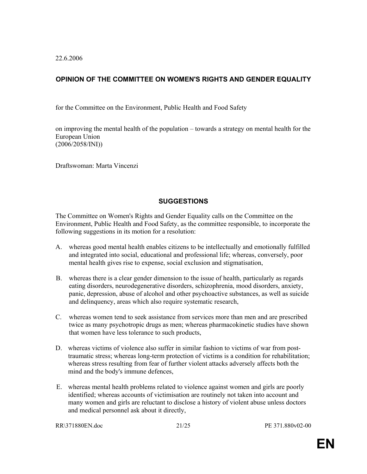22.6.2006

# OPINION OF THE COMMITTEE ON WOMEN'S RIGHTS AND GENDER EQUALITY

for the Committee on the Environment, Public Health and Food Safety

on improving the mental health of the population – towards a strategy on mental health for the European Union (2006/2058/INI))

Draftswoman: Marta Vincenzi

#### **SUGGESTIONS**

The Committee on Women's Rights and Gender Equality calls on the Committee on the Environment, Public Health and Food Safety, as the committee responsible, to incorporate the following suggestions in its motion for a resolution:

- A. whereas good mental health enables citizens to be intellectually and emotionally fulfilled and integrated into social, educational and professional life; whereas, conversely, poor mental health gives rise to expense, social exclusion and stigmatisation,
- B. whereas there is a clear gender dimension to the issue of health, particularly as regards eating disorders, neurodegenerative disorders, schizophrenia, mood disorders, anxiety, panic, depression, abuse of alcohol and other psychoactive substances, as well as suicide and delinquency, areas which also require systematic research,
- C. whereas women tend to seek assistance from services more than men and are prescribed twice as many psychotropic drugs as men; whereas pharmacokinetic studies have shown that women have less tolerance to such products,
- D. whereas victims of violence also suffer in similar fashion to victims of war from posttraumatic stress; whereas long-term protection of victims is a condition for rehabilitation; whereas stress resulting from fear of further violent attacks adversely affects both the mind and the body's immune defences,
- E. whereas mental health problems related to violence against women and girls are poorly identified; whereas accounts of victimisation are routinely not taken into account and many women and girls are reluctant to disclose a history of violent abuse unless doctors and medical personnel ask about it directly,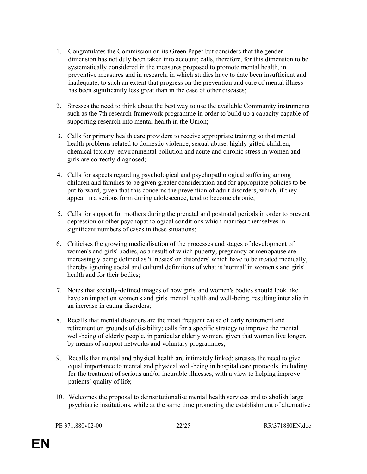- 1. Congratulates the Commission on its Green Paper but considers that the gender dimension has not duly been taken into account; calls, therefore, for this dimension to be systematically considered in the measures proposed to promote mental health, in preventive measures and in research, in which studies have to date been insufficient and inadequate, to such an extent that progress on the prevention and cure of mental illness has been significantly less great than in the case of other diseases;
- 2. Stresses the need to think about the best way to use the available Community instruments such as the 7th research framework programme in order to build up a capacity capable of supporting research into mental health in the Union;
- 3. Calls for primary health care providers to receive appropriate training so that mental health problems related to domestic violence, sexual abuse, highly-gifted children, chemical toxicity, environmental pollution and acute and chronic stress in women and girls are correctly diagnosed;
- 4. Calls for aspects regarding psychological and psychopathological suffering among children and families to be given greater consideration and for appropriate policies to be put forward, given that this concerns the prevention of adult disorders, which, if they appear in a serious form during adolescence, tend to become chronic;
- 5. Calls for support for mothers during the prenatal and postnatal periods in order to prevent depression or other psychopathological conditions which manifest themselves in significant numbers of cases in these situations;
- 6. Criticises the growing medicalisation of the processes and stages of development of women's and girls' bodies, as a result of which puberty, pregnancy or menopause are increasingly being defined as 'illnesses' or 'disorders' which have to be treated medically, thereby ignoring social and cultural definitions of what is 'normal' in women's and girls' health and for their bodies;
- 7. Notes that socially-defined images of how girls' and women's bodies should look like have an impact on women's and girls' mental health and well-being, resulting inter alia in an increase in eating disorders;
- 8. Recalls that mental disorders are the most frequent cause of early retirement and retirement on grounds of disability; calls for a specific strategy to improve the mental well-being of elderly people, in particular elderly women, given that women live longer, by means of support networks and voluntary programmes;
- 9. Recalls that mental and physical health are intimately linked; stresses the need to give equal importance to mental and physical well-being in hospital care protocols, including for the treatment of serious and/or incurable illnesses, with a view to helping improve patients' quality of life;
- 10. Welcomes the proposal to deinstitutionalise mental health services and to abolish large psychiatric institutions, while at the same time promoting the establishment of alternative

PE 371.880v02-00 22/25 RR\371880EN.doc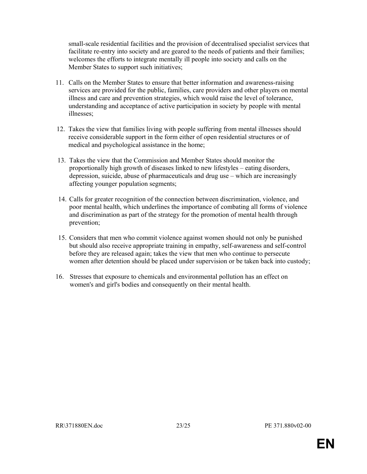small-scale residential facilities and the provision of decentralised specialist services that facilitate re-entry into society and are geared to the needs of patients and their families; welcomes the efforts to integrate mentally ill people into society and calls on the Member States to support such initiatives;

- 11. Calls on the Member States to ensure that better information and awareness-raising services are provided for the public, families, care providers and other players on mental illness and care and prevention strategies, which would raise the level of tolerance, understanding and acceptance of active participation in society by people with mental illnesses;
- 12. Takes the view that families living with people suffering from mental illnesses should receive considerable support in the form either of open residential structures or of medical and psychological assistance in the home;
- 13. Takes the view that the Commission and Member States should monitor the proportionally high growth of diseases linked to new lifestyles – eating disorders, depression, suicide, abuse of pharmaceuticals and drug use – which are increasingly affecting younger population segments;
- 14. Calls for greater recognition of the connection between discrimination, violence, and poor mental health, which underlines the importance of combating all forms of violence and discrimination as part of the strategy for the promotion of mental health through prevention;
- 15. Considers that men who commit violence against women should not only be punished but should also receive appropriate training in empathy, self-awareness and self-control before they are released again; takes the view that men who continue to persecute women after detention should be placed under supervision or be taken back into custody;
- 16. Stresses that exposure to chemicals and environmental pollution has an effect on women's and girl's bodies and consequently on their mental health.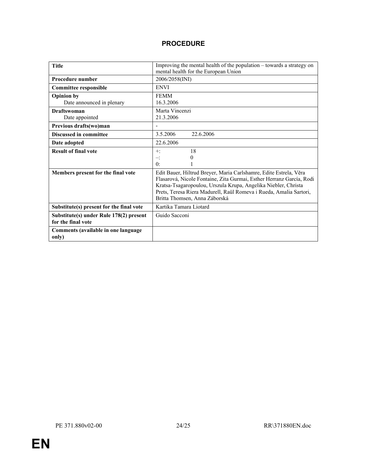# PROCEDURE

| <b>Title</b>                                                  | Improving the mental health of the population – towards a strategy on<br>mental health for the European Union                                                                                                                                                                                                      |  |  |  |  |
|---------------------------------------------------------------|--------------------------------------------------------------------------------------------------------------------------------------------------------------------------------------------------------------------------------------------------------------------------------------------------------------------|--|--|--|--|
| <b>Procedure number</b>                                       | 2006/2058(INI)                                                                                                                                                                                                                                                                                                     |  |  |  |  |
| <b>Committee responsible</b>                                  | <b>ENVI</b>                                                                                                                                                                                                                                                                                                        |  |  |  |  |
| <b>Opinion by</b><br>Date announced in plenary                | <b>FEMM</b><br>16.3.2006                                                                                                                                                                                                                                                                                           |  |  |  |  |
| <b>Draftswoman</b><br>Date appointed                          | Marta Vincenzi<br>21.3.2006                                                                                                                                                                                                                                                                                        |  |  |  |  |
| Previous drafts(wo)man                                        |                                                                                                                                                                                                                                                                                                                    |  |  |  |  |
| <b>Discussed in committee</b>                                 | 3.5.2006<br>22.6.2006                                                                                                                                                                                                                                                                                              |  |  |  |  |
| Date adopted                                                  | 22.6.2006                                                                                                                                                                                                                                                                                                          |  |  |  |  |
| <b>Result of final vote</b>                                   | 18<br>$+:$<br>0<br>≕<br>$\mathbf{0}$ :                                                                                                                                                                                                                                                                             |  |  |  |  |
| Members present for the final vote                            | Edit Bauer, Hiltrud Breyer, Maria Carlshamre, Edite Estrela, Věra<br>Flasarová, Nicole Fontaine, Zita Gurmai, Esther Herranz García, Rodi<br>Kratsa-Tsagaropoulou, Urszula Krupa, Angelika Niebler, Christa<br>Prets, Teresa Riera Madurell, Raül Romeva i Rueda, Amalia Sartori,<br>Britta Thomsen, Anna Záborská |  |  |  |  |
| Substitute(s) present for the final vote                      | Kartika Tamara Liotard                                                                                                                                                                                                                                                                                             |  |  |  |  |
| Substitute(s) under Rule 178(2) present<br>for the final vote | Guido Sacconi                                                                                                                                                                                                                                                                                                      |  |  |  |  |
| Comments (available in one language<br>only)                  |                                                                                                                                                                                                                                                                                                                    |  |  |  |  |